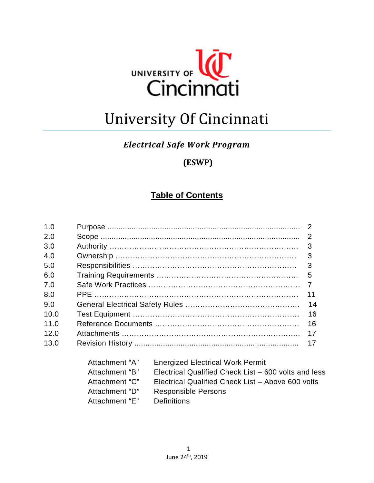

# University Of Cincinnati

#### *Electrical Safe Work Program*

# **(ESWP)**

## **Table of Contents**

| 1.0  |                |                                                      | 2  |
|------|----------------|------------------------------------------------------|----|
| 2.0  |                |                                                      | 2  |
| 3.0  |                |                                                      | 3  |
| 4.0  |                |                                                      | 3  |
| 5.0  |                |                                                      | 3  |
| 6.0  |                |                                                      | 5  |
| 7.0  | 7              |                                                      |    |
| 8.0  | 11             |                                                      |    |
| 9.0  | 14             |                                                      |    |
| 10.0 |                |                                                      | 16 |
| 11.0 |                |                                                      | 16 |
| 12.0 |                |                                                      | 17 |
| 13.0 |                |                                                      | 17 |
|      | Attachment "A" | <b>Energized Electrical Work Permit</b>              |    |
|      | Attachment "B" | Electrical Qualified Check List – 600 volts and less |    |
|      | Attachment "C" | Electrical Qualified Check List - Above 600 volts    |    |

- Attachment "D" Responsible Persons
- Attachment "E" Definitions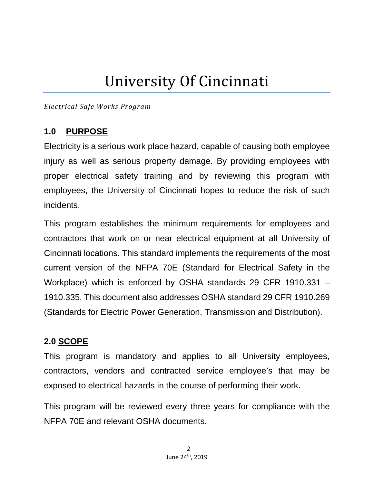# University Of Cincinnati

*Electrical Safe Works Program*

#### **1.0 PURPOSE**

Electricity is a serious work place hazard, capable of causing both employee injury as well as serious property damage. By providing employees with proper electrical safety training and by reviewing this program with employees, the University of Cincinnati hopes to reduce the risk of such incidents.

This program establishes the minimum requirements for employees and contractors that work on or near electrical equipment at all University of Cincinnati locations. This standard implements the requirements of the most current version of the NFPA 70E (Standard for Electrical Safety in the Workplace) which is enforced by OSHA standards 29 CFR 1910.331 – 1910.335. This document also addresses OSHA standard 29 CFR 1910.269 (Standards for Electric Power Generation, Transmission and Distribution).

#### **2.0 SCOPE**

This program is mandatory and applies to all University employees, contractors, vendors and contracted service employee's that may be exposed to electrical hazards in the course of performing their work.

This program will be reviewed every three years for compliance with the NFPA 70E and relevant OSHA documents.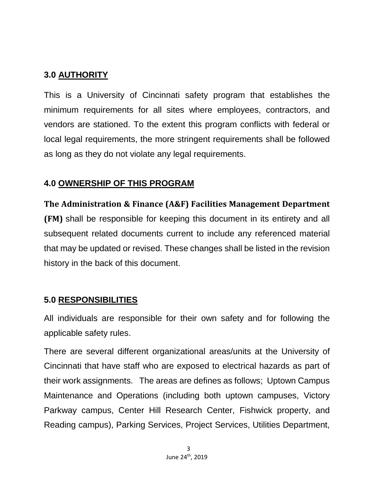#### **3.0 AUTHORITY**

This is a University of Cincinnati safety program that establishes the minimum requirements for all sites where employees, contractors, and vendors are stationed. To the extent this program conflicts with federal or local legal requirements, the more stringent requirements shall be followed as long as they do not violate any legal requirements.

#### **4.0 OWNERSHIP OF THIS PROGRAM**

**The Administration & Finance (A&F) Facilities Management Department (FM)** shall be responsible for keeping this document in its entirety and all subsequent related documents current to include any referenced material that may be updated or revised. These changes shall be listed in the revision history in the back of this document.

#### **5.0 RESPONSIBILITIES**

All individuals are responsible for their own safety and for following the applicable safety rules.

There are several different organizational areas/units at the University of Cincinnati that have staff who are exposed to electrical hazards as part of their work assignments. The areas are defines as follows; Uptown Campus Maintenance and Operations (including both uptown campuses, Victory Parkway campus, Center Hill Research Center, Fishwick property, and Reading campus), Parking Services, Project Services, Utilities Department,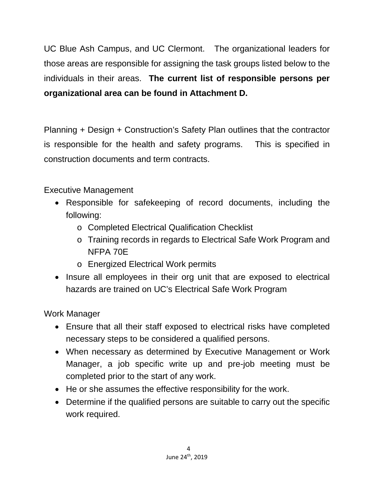UC Blue Ash Campus, and UC Clermont. The organizational leaders for those areas are responsible for assigning the task groups listed below to the individuals in their areas. **The current list of responsible persons per organizational area can be found in Attachment D.**

Planning + Design + Construction's Safety Plan outlines that the contractor is responsible for the health and safety programs. This is specified in construction documents and term contracts.

Executive Management

- Responsible for safekeeping of record documents, including the following:
	- o Completed Electrical Qualification Checklist
	- o Training records in regards to Electrical Safe Work Program and NFPA 70E
	- o Energized Electrical Work permits
- Insure all employees in their org unit that are exposed to electrical hazards are trained on UC's Electrical Safe Work Program

Work Manager

- Ensure that all their staff exposed to electrical risks have completed necessary steps to be considered a qualified persons.
- When necessary as determined by Executive Management or Work Manager, a job specific write up and pre-job meeting must be completed prior to the start of any work.
- He or she assumes the effective responsibility for the work.
- Determine if the qualified persons are suitable to carry out the specific work required.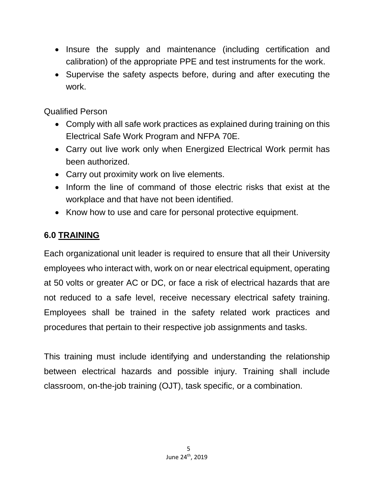- Insure the supply and maintenance (including certification and calibration) of the appropriate PPE and test instruments for the work.
- Supervise the safety aspects before, during and after executing the work.

Qualified Person

- Comply with all safe work practices as explained during training on this Electrical Safe Work Program and NFPA 70E.
- Carry out live work only when Energized Electrical Work permit has been authorized.
- Carry out proximity work on live elements.
- Inform the line of command of those electric risks that exist at the workplace and that have not been identified.
- Know how to use and care for personal protective equipment.

#### **6.0 TRAINING**

Each organizational unit leader is required to ensure that all their University employees who interact with, work on or near electrical equipment, operating at 50 volts or greater AC or DC, or face a risk of electrical hazards that are not reduced to a safe level, receive necessary electrical safety training. Employees shall be trained in the safety related work practices and procedures that pertain to their respective job assignments and tasks.

This training must include identifying and understanding the relationship between electrical hazards and possible injury. Training shall include classroom, on-the-job training (OJT), task specific, or a combination.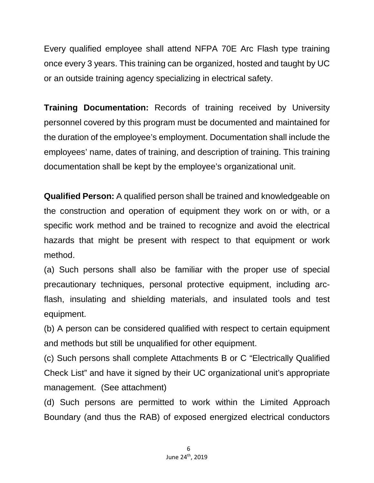Every qualified employee shall attend NFPA 70E Arc Flash type training once every 3 years. This training can be organized, hosted and taught by UC or an outside training agency specializing in electrical safety.

**Training Documentation:** Records of training received by University personnel covered by this program must be documented and maintained for the duration of the employee's employment. Documentation shall include the employees' name, dates of training, and description of training. This training documentation shall be kept by the employee's organizational unit.

**Qualified Person:** A qualified person shall be trained and knowledgeable on the construction and operation of equipment they work on or with, or a specific work method and be trained to recognize and avoid the electrical hazards that might be present with respect to that equipment or work method.

(a) Such persons shall also be familiar with the proper use of special precautionary techniques, personal protective equipment, including arcflash, insulating and shielding materials, and insulated tools and test equipment.

(b) A person can be considered qualified with respect to certain equipment and methods but still be unqualified for other equipment.

(c) Such persons shall complete Attachments B or C "Electrically Qualified Check List" and have it signed by their UC organizational unit's appropriate management. (See attachment)

(d) Such persons are permitted to work within the Limited Approach Boundary (and thus the RAB) of exposed energized electrical conductors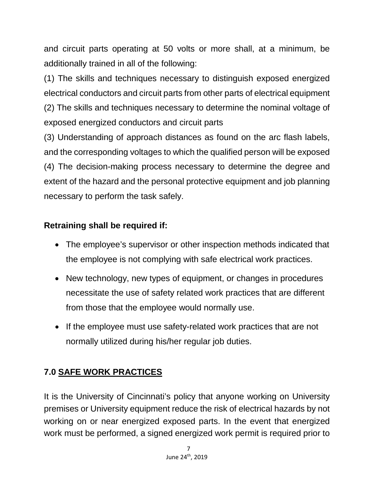and circuit parts operating at 50 volts or more shall, at a minimum, be additionally trained in all of the following:

(1) The skills and techniques necessary to distinguish exposed energized electrical conductors and circuit parts from other parts of electrical equipment (2) The skills and techniques necessary to determine the nominal voltage of exposed energized conductors and circuit parts

(3) Understanding of approach distances as found on the arc flash labels, and the corresponding voltages to which the qualified person will be exposed (4) The decision-making process necessary to determine the degree and extent of the hazard and the personal protective equipment and job planning necessary to perform the task safely.

#### **Retraining shall be required if:**

- The employee's supervisor or other inspection methods indicated that the employee is not complying with safe electrical work practices.
- New technology, new types of equipment, or changes in procedures necessitate the use of safety related work practices that are different from those that the employee would normally use.
- If the employee must use safety-related work practices that are not normally utilized during his/her regular job duties.

# **7.0 SAFE WORK PRACTICES**

It is the University of Cincinnati's policy that anyone working on University premises or University equipment reduce the risk of electrical hazards by not working on or near energized exposed parts. In the event that energized work must be performed, a signed energized work permit is required prior to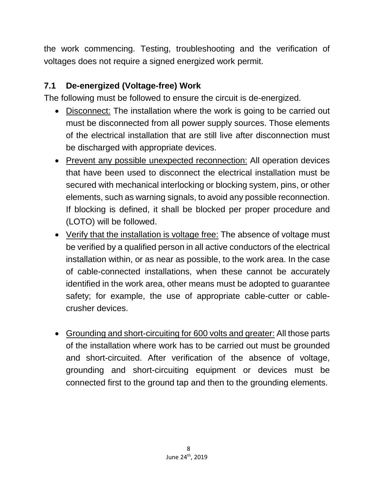the work commencing. Testing, troubleshooting and the verification of voltages does not require a signed energized work permit.

#### **7.1 De-energized (Voltage-free) Work**

The following must be followed to ensure the circuit is de-energized.

- Disconnect: The installation where the work is going to be carried out must be disconnected from all power supply sources. Those elements of the electrical installation that are still live after disconnection must be discharged with appropriate devices.
- Prevent any possible unexpected reconnection: All operation devices that have been used to disconnect the electrical installation must be secured with mechanical interlocking or blocking system, pins, or other elements, such as warning signals, to avoid any possible reconnection. If blocking is defined, it shall be blocked per proper procedure and (LOTO) will be followed.
- Verify that the installation is voltage free: The absence of voltage must be verified by a qualified person in all active conductors of the electrical installation within, or as near as possible, to the work area. In the case of cable-connected installations, when these cannot be accurately identified in the work area, other means must be adopted to guarantee safety; for example, the use of appropriate cable-cutter or cablecrusher devices.
- Grounding and short-circuiting for 600 volts and greater: All those parts of the installation where work has to be carried out must be grounded and short-circuited. After verification of the absence of voltage, grounding and short-circuiting equipment or devices must be connected first to the ground tap and then to the grounding elements.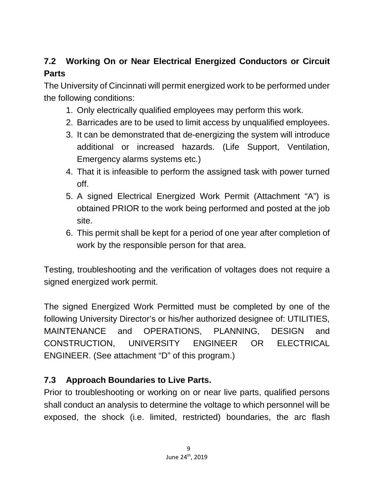# **7.2 Working On or Near Electrical Energized Conductors or Circuit Parts**

The University of Cincinnati will permit energized work to be performed under the following conditions:

- 1. Only electrically qualified employees may perform this work.
- 2. Barricades are to be used to limit access by unqualified employees.
- 3. It can be demonstrated that de-energizing the system will introduce additional or increased hazards. (Life Support, Ventilation, Emergency alarms systems etc.)
- 4. That it is infeasible to perform the assigned task with power turned off.
- 5. A signed Electrical Energized Work Permit (Attachment "A") is obtained PRIOR to the work being performed and posted at the job site.
- 6. This permit shall be kept for a period of one year after completion of work by the responsible person for that area.

Testing, troubleshooting and the verification of voltages does not require a signed energized work permit.

The signed Energized Work Permitted must be completed by one of the following University Director's or his/her authorized designee of: UTILITIES, MAINTENANCE and OPERATIONS, PLANNING, DESIGN and CONSTRUCTION, UNIVERSITY ENGINEER OR ELECTRICAL ENGINEER. (See attachment "D" of this program.)

#### **7.3 Approach Boundaries to Live Parts.**

Prior to troubleshooting or working on or near live parts, qualified persons shall conduct an analysis to determine the voltage to which personnel will be exposed, the shock (i.e. limited, restricted) boundaries, the arc flash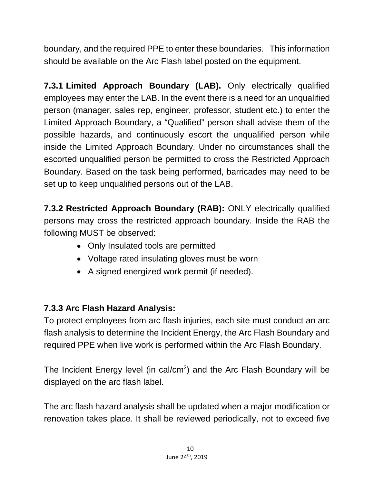boundary, and the required PPE to enter these boundaries. This information should be available on the Arc Flash label posted on the equipment.

**7.3.1 Limited Approach Boundary (LAB).** Only electrically qualified employees may enter the LAB. In the event there is a need for an unqualified person (manager, sales rep, engineer, professor, student etc.) to enter the Limited Approach Boundary, a "Qualified" person shall advise them of the possible hazards, and continuously escort the unqualified person while inside the Limited Approach Boundary. Under no circumstances shall the escorted unqualified person be permitted to cross the Restricted Approach Boundary. Based on the task being performed, barricades may need to be set up to keep unqualified persons out of the LAB.

**7.3.2 Restricted Approach Boundary (RAB):** ONLY electrically qualified persons may cross the restricted approach boundary. Inside the RAB the following MUST be observed:

- Only Insulated tools are permitted
- Voltage rated insulating gloves must be worn
- A signed energized work permit (if needed).

# **7.3.3 Arc Flash Hazard Analysis:**

To protect employees from arc flash injuries, each site must conduct an arc flash analysis to determine the Incident Energy, the Arc Flash Boundary and required PPE when live work is performed within the Arc Flash Boundary.

The Incident Energy level (in cal/cm<sup>2</sup>) and the Arc Flash Boundary will be displayed on the arc flash label.

The arc flash hazard analysis shall be updated when a major modification or renovation takes place. It shall be reviewed periodically, not to exceed five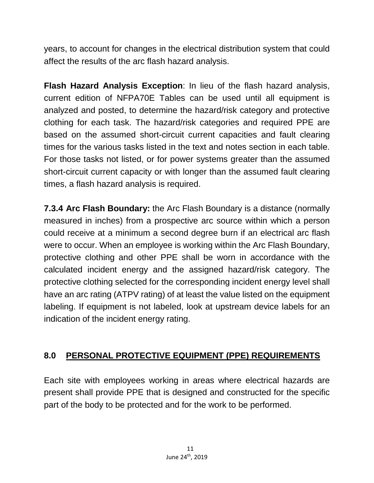years, to account for changes in the electrical distribution system that could affect the results of the arc flash hazard analysis.

**Flash Hazard Analysis Exception**: In lieu of the flash hazard analysis, current edition of NFPA70E Tables can be used until all equipment is analyzed and posted, to determine the hazard/risk category and protective clothing for each task. The hazard/risk categories and required PPE are based on the assumed short-circuit current capacities and fault clearing times for the various tasks listed in the text and notes section in each table. For those tasks not listed, or for power systems greater than the assumed short-circuit current capacity or with longer than the assumed fault clearing times, a flash hazard analysis is required.

**7.3.4 Arc Flash Boundary:** the Arc Flash Boundary is a distance (normally measured in inches) from a prospective arc source within which a person could receive at a minimum a second degree burn if an electrical arc flash were to occur. When an employee is working within the Arc Flash Boundary, protective clothing and other PPE shall be worn in accordance with the calculated incident energy and the assigned hazard/risk category. The protective clothing selected for the corresponding incident energy level shall have an arc rating (ATPV rating) of at least the value listed on the equipment labeling. If equipment is not labeled, look at upstream device labels for an indication of the incident energy rating.

## **8.0 PERSONAL PROTECTIVE EQUIPMENT (PPE) REQUIREMENTS**

Each site with employees working in areas where electrical hazards are present shall provide PPE that is designed and constructed for the specific part of the body to be protected and for the work to be performed.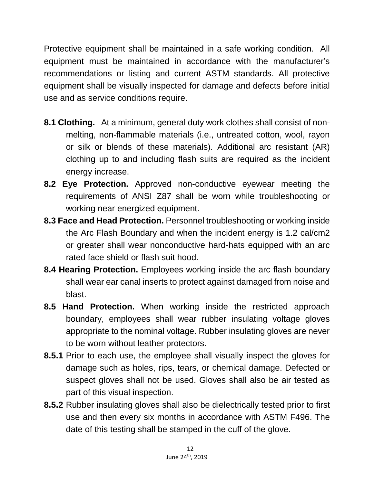Protective equipment shall be maintained in a safe working condition. All equipment must be maintained in accordance with the manufacturer's recommendations or listing and current ASTM standards. All protective equipment shall be visually inspected for damage and defects before initial use and as service conditions require.

- **8.1 Clothing.** At a minimum, general duty work clothes shall consist of nonmelting, non-flammable materials (i.e., untreated cotton, wool, rayon or silk or blends of these materials). Additional arc resistant (AR) clothing up to and including flash suits are required as the incident energy increase.
- **8.2 Eye Protection.** Approved non-conductive eyewear meeting the requirements of ANSI Z87 shall be worn while troubleshooting or working near energized equipment.
- **8.3 Face and Head Protection.** Personnel troubleshooting or working inside the Arc Flash Boundary and when the incident energy is 1.2 cal/cm2 or greater shall wear nonconductive hard-hats equipped with an arc rated face shield or flash suit hood.
- **8.4 Hearing Protection.** Employees working inside the arc flash boundary shall wear ear canal inserts to protect against damaged from noise and blast.
- **8.5 Hand Protection.** When working inside the restricted approach boundary, employees shall wear rubber insulating voltage gloves appropriate to the nominal voltage. Rubber insulating gloves are never to be worn without leather protectors.
- **8.5.1** Prior to each use, the employee shall visually inspect the gloves for damage such as holes, rips, tears, or chemical damage. Defected or suspect gloves shall not be used. Gloves shall also be air tested as part of this visual inspection.
- **8.5.2** Rubber insulating gloves shall also be dielectrically tested prior to first use and then every six months in accordance with ASTM F496. The date of this testing shall be stamped in the cuff of the glove.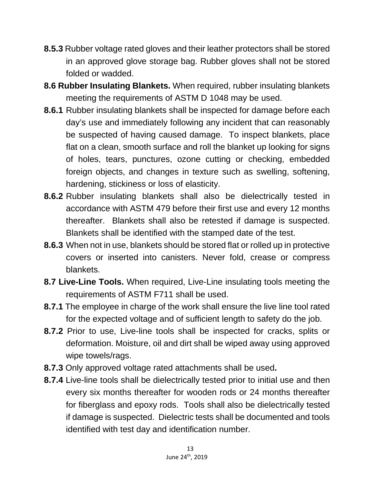- **8.5.3** Rubber voltage rated gloves and their leather protectors shall be stored in an approved glove storage bag. Rubber gloves shall not be stored folded or wadded.
- **8.6 Rubber Insulating Blankets.** When required, rubber insulating blankets meeting the requirements of ASTM D 1048 may be used.
- **8.6.1** Rubber insulating blankets shall be inspected for damage before each day's use and immediately following any incident that can reasonably be suspected of having caused damage. To inspect blankets, place flat on a clean, smooth surface and roll the blanket up looking for signs of holes, tears, punctures, ozone cutting or checking, embedded foreign objects, and changes in texture such as swelling, softening, hardening, stickiness or loss of elasticity.
- **8.6.2** Rubber insulating blankets shall also be dielectrically tested in accordance with ASTM 479 before their first use and every 12 months thereafter. Blankets shall also be retested if damage is suspected. Blankets shall be identified with the stamped date of the test.
- **8.6.3** When not in use, blankets should be stored flat or rolled up in protective covers or inserted into canisters. Never fold, crease or compress blankets.
- **8.7 Live-Line Tools.** When required, Live-Line insulating tools meeting the requirements of ASTM F711 shall be used.
- **8.7.1** The employee in charge of the work shall ensure the live line tool rated for the expected voltage and of sufficient length to safety do the job.
- **8.7.2** Prior to use, Live-line tools shall be inspected for cracks, splits or deformation. Moisture, oil and dirt shall be wiped away using approved wipe towels/rags.
- **8.7.3** Only approved voltage rated attachments shall be used**.**
- **8.7.4** Live-line tools shall be dielectrically tested prior to initial use and then every six months thereafter for wooden rods or 24 months thereafter for fiberglass and epoxy rods. Tools shall also be dielectrically tested if damage is suspected. Dielectric tests shall be documented and tools identified with test day and identification number.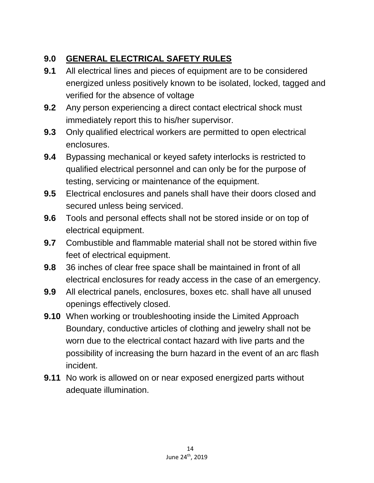## **9.0 GENERAL ELECTRICAL SAFETY RULES**

- **9.1** All electrical lines and pieces of equipment are to be considered energized unless positively known to be isolated, locked, tagged and verified for the absence of voltage
- **9.2** Any person experiencing a direct contact electrical shock must immediately report this to his/her supervisor.
- **9.3** Only qualified electrical workers are permitted to open electrical enclosures.
- **9.4** Bypassing mechanical or keyed safety interlocks is restricted to qualified electrical personnel and can only be for the purpose of testing, servicing or maintenance of the equipment.
- **9.5** Electrical enclosures and panels shall have their doors closed and secured unless being serviced.
- **9.6** Tools and personal effects shall not be stored inside or on top of electrical equipment.
- **9.7** Combustible and flammable material shall not be stored within five feet of electrical equipment.
- **9.8** 36 inches of clear free space shall be maintained in front of all electrical enclosures for ready access in the case of an emergency.
- **9.9** All electrical panels, enclosures, boxes etc. shall have all unused openings effectively closed.
- **9.10** When working or troubleshooting inside the Limited Approach Boundary, conductive articles of clothing and jewelry shall not be worn due to the electrical contact hazard with live parts and the possibility of increasing the burn hazard in the event of an arc flash incident.
- **9.11** No work is allowed on or near exposed energized parts without adequate illumination.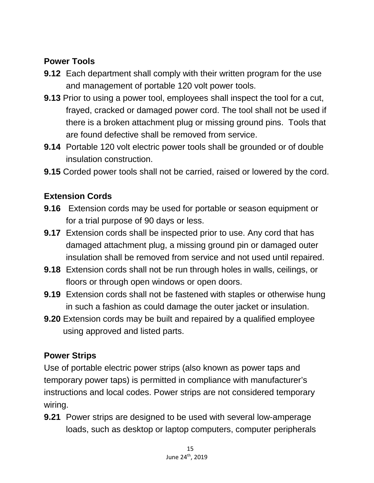#### **Power Tools**

- **9.12** Each department shall comply with their written program for the use and management of portable 120 volt power tools.
- **9.13** Prior to using a power tool, employees shall inspect the tool for a cut, frayed, cracked or damaged power cord. The tool shall not be used if there is a broken attachment plug or missing ground pins. Tools that are found defective shall be removed from service.
- **9.14** Portable 120 volt electric power tools shall be grounded or of double insulation construction.
- **9.15** Corded power tools shall not be carried, raised or lowered by the cord.

## **Extension Cords**

- **9.16** Extension cords may be used for portable or season equipment or for a trial purpose of 90 days or less.
- **9.17** Extension cords shall be inspected prior to use. Any cord that has damaged attachment plug, a missing ground pin or damaged outer insulation shall be removed from service and not used until repaired.
- **9.18** Extension cords shall not be run through holes in walls, ceilings, or floors or through open windows or open doors.
- **9.19** Extension cords shall not be fastened with staples or otherwise hung in such a fashion as could damage the outer jacket or insulation.
- **9.20** Extension cords may be built and repaired by a qualified employee using approved and listed parts.

#### **Power Strips**

Use of portable electric power strips (also known as power taps and temporary power taps) is permitted in compliance with manufacturer's instructions and local codes. Power strips are not considered temporary wiring.

**9.21** Power strips are designed to be used with several low-amperage loads, such as desktop or laptop computers, computer peripherals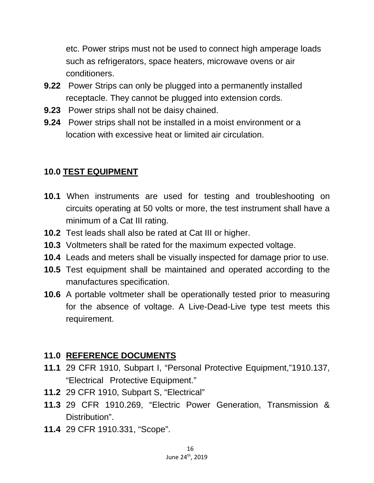etc. Power strips must not be used to connect high amperage loads such as refrigerators, space heaters, microwave ovens or air conditioners.

- **9.22** Power Strips can only be plugged into a permanently installed receptacle. They cannot be plugged into extension cords.
- **9.23** Power strips shall not be daisy chained.
- **9.24** Power strips shall not be installed in a moist environment or a location with excessive heat or limited air circulation.

## **10.0 TEST EQUIPMENT**

- **10.1** When instruments are used for testing and troubleshooting on circuits operating at 50 volts or more, the test instrument shall have a minimum of a Cat III rating.
- **10.2** Test leads shall also be rated at Cat III or higher.
- **10.3** Voltmeters shall be rated for the maximum expected voltage.
- **10.4** Leads and meters shall be visually inspected for damage prior to use.
- **10.5** Test equipment shall be maintained and operated according to the manufactures specification.
- **10.6** A portable voltmeter shall be operationally tested prior to measuring for the absence of voltage. A Live-Dead-Live type test meets this requirement.

## **11.0 REFERENCE DOCUMENTS**

- **11.1** 29 CFR 1910, Subpart I, "Personal Protective Equipment,"1910.137, "Electrical Protective Equipment."
- **11.2** 29 CFR 1910, Subpart S, "Electrical"
- **11.3** 29 CFR 1910.269, "Electric Power Generation, Transmission & Distribution".
- **11.4** 29 CFR 1910.331, "Scope".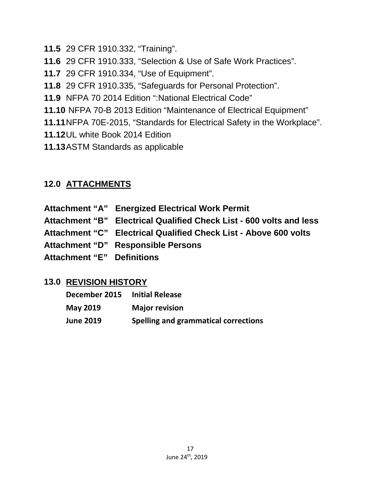- **11.5** 29 CFR 1910.332, "Training".
- **11.6** 29 CFR 1910.333, "Selection & Use of Safe Work Practices".
- **11.7** 29 CFR 1910.334, "Use of Equipment".
- **11.8** 29 CFR 1910.335, "Safeguards for Personal Protection".
- **11.9** NFPA 70 2014 Edition ":National Electrical Code"
- **11.10** NFPA 70-B 2013 Edition "Maintenance of Electrical Equipment"
- **11.11**NFPA 70E-2015, "Standards for Electrical Safety in the Workplace".
- **11.12**UL white Book 2014 Edition
- **11.13**ASTM Standards as applicable

## **12.0 ATTACHMENTS**

**Attachment "A" Energized Electrical Work Permit Attachment "B" Electrical Qualified Check List - 600 volts and less Attachment "C" Electrical Qualified Check List - Above 600 volts Attachment "D" Responsible Persons Attachment "E" Definitions**

#### **13.0 REVISION HISTORY**

| <b>December 2015</b> | <b>Initial Release</b>               |
|----------------------|--------------------------------------|
| May 2019             | <b>Major revision</b>                |
| <b>June 2019</b>     | Spelling and grammatical corrections |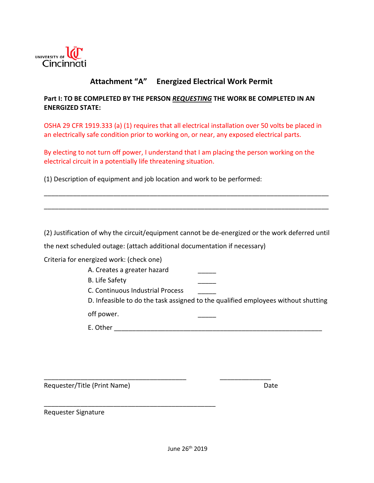

#### **Attachment "A" Energized Electrical Work Permit**

#### **Part I: TO BE COMPLETED BY THE PERSON** *REQUESTING* **THE WORK BE COMPLETED IN AN ENERGIZED STATE:**

OSHA 29 CFR 1919.333 (a) (1) requires that all electrical installation over 50 volts be placed in an electrically safe condition prior to working on, or near, any exposed electrical parts.

By electing to not turn off power, I understand that I am placing the person working on the electrical circuit in a potentially life threatening situation.

(1) Description of equipment and job location and work to be performed:

(2) Justification of why the circuit/equipment cannot be de-energized or the work deferred until

\_\_\_\_\_\_\_\_\_\_\_\_\_\_\_\_\_\_\_\_\_\_\_\_\_\_\_\_\_\_\_\_\_\_\_\_\_\_\_\_\_\_\_\_\_\_\_\_\_\_\_\_\_\_\_\_\_\_\_\_\_\_\_\_\_\_\_\_\_\_\_\_\_\_\_\_\_\_

\_\_\_\_\_\_\_\_\_\_\_\_\_\_\_\_\_\_\_\_\_\_\_\_\_\_\_\_\_\_\_\_\_\_\_\_\_\_\_\_\_\_\_\_\_\_\_\_\_\_\_\_\_\_\_\_\_\_\_\_\_\_\_\_\_\_\_\_\_\_\_\_\_\_\_\_\_\_

the next scheduled outage: (attach additional documentation if necessary)

\_\_\_\_\_\_\_\_\_\_\_\_\_\_\_\_\_\_\_\_\_\_\_\_\_\_\_\_\_\_\_\_\_\_\_\_\_\_\_ \_\_\_\_\_\_\_\_\_\_\_\_\_\_

\_\_\_\_\_\_\_\_\_\_\_\_\_\_\_\_\_\_\_\_\_\_\_\_\_\_\_\_\_\_\_\_\_\_\_\_\_\_\_\_\_\_\_\_\_\_\_

Criteria for energized work: (check one)

A. Creates a greater hazard

B. Life Safety

C. Continuous Industrial Process \_\_\_\_\_

D. Infeasible to do the task assigned to the qualified employees without shutting

off power.

E. Other  $\blacksquare$ 

Requester/Title (Print Name) and the control of the Date of Date

Requester Signature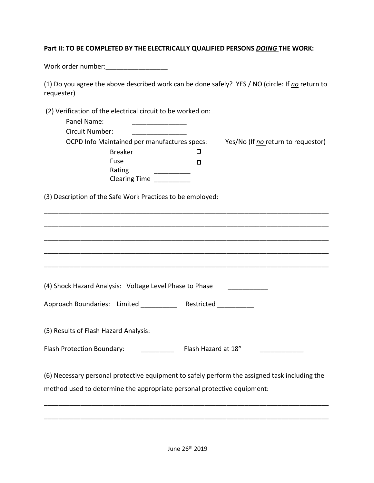#### **Part II: TO BE COMPLETED BY THE ELECTRICALLY QUALIFIED PERSONS** *DOING* **THE WORK:**

Work order number:\_\_\_\_\_\_\_\_\_\_\_\_\_\_\_\_\_

| (1) Do you agree the above described work can be done safely? YES / NO (circle: If no return to |  |
|-------------------------------------------------------------------------------------------------|--|
| requester)                                                                                      |  |

(2) Verification of the electrical circuit to be worked on:

| Panel Name:<br>Circuit Number:                                                                                                                                           |                     |  |
|--------------------------------------------------------------------------------------------------------------------------------------------------------------------------|---------------------|--|
| OCPD Info Maintained per manufactures specs: Yes/No (If no return to requestor)<br><b>Breaker</b><br>Fuse<br>Rating<br>Clearing Time                                     | П<br>П              |  |
| (3) Description of the Safe Work Practices to be employed:                                                                                                               |                     |  |
|                                                                                                                                                                          |                     |  |
|                                                                                                                                                                          |                     |  |
|                                                                                                                                                                          |                     |  |
| (4) Shock Hazard Analysis: Voltage Level Phase to Phase                                                                                                                  |                     |  |
| Approach Boundaries: Limited Restricted                                                                                                                                  |                     |  |
| (5) Results of Flash Hazard Analysis:                                                                                                                                    |                     |  |
| Flash Protection Boundary:                                                                                                                                               | Flash Hazard at 18" |  |
| (6) Necessary personal protective equipment to safely perform the assigned task including the<br>method used to determine the appropriate personal protective equipment: |                     |  |

\_\_\_\_\_\_\_\_\_\_\_\_\_\_\_\_\_\_\_\_\_\_\_\_\_\_\_\_\_\_\_\_\_\_\_\_\_\_\_\_\_\_\_\_\_\_\_\_\_\_\_\_\_\_\_\_\_\_\_\_\_\_\_\_\_\_\_\_\_\_\_\_\_\_\_\_\_\_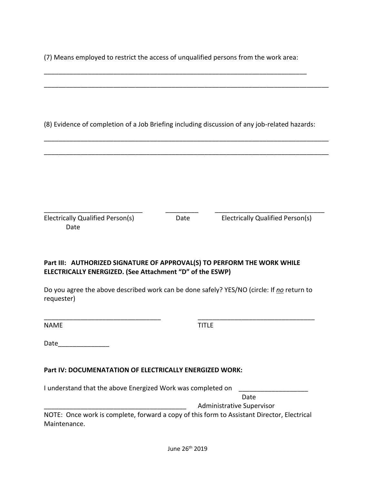(7) Means employed to restrict the access of unqualified persons from the work area:

|                                                                                                                                     |      | (8) Evidence of completion of a Job Briefing including discussion of any job-related hazards: |
|-------------------------------------------------------------------------------------------------------------------------------------|------|-----------------------------------------------------------------------------------------------|
|                                                                                                                                     |      |                                                                                               |
|                                                                                                                                     |      |                                                                                               |
|                                                                                                                                     |      |                                                                                               |
|                                                                                                                                     |      |                                                                                               |
|                                                                                                                                     |      |                                                                                               |
| <b>Electrically Qualified Person(s)</b><br>Date                                                                                     | Date | Electrically Qualified Person(s)                                                              |
|                                                                                                                                     |      |                                                                                               |
|                                                                                                                                     |      |                                                                                               |
| Part III: AUTHORIZED SIGNATURE OF APPROVAL(S) TO PERFORM THE WORK WHILE<br>ELECTRICALLY ENERGIZED. (See Attachment "D" of the ESWP) |      |                                                                                               |

Do you agree the above described work can be done safely? YES/NO (circle: If *no* return to requester)

\_\_\_\_\_\_\_\_\_\_\_\_\_\_\_\_\_\_\_\_\_\_\_\_\_\_\_\_\_\_\_\_ \_\_\_\_\_\_\_\_\_\_\_\_\_\_\_\_\_\_\_\_\_\_\_\_\_\_\_\_\_\_\_\_

| <b>NAME</b> |  | <b>TITLE</b> |
|-------------|--|--------------|
|-------------|--|--------------|

Date\_\_\_\_\_\_\_\_\_\_\_\_\_\_

#### **Part IV: DOCUMENATATION OF ELECTRICALLY ENERGIZED WORK:**

I understand that the above Energized Work was completed on \_\_\_\_\_\_\_\_\_\_\_\_\_\_\_\_\_\_\_\_

Date

\_\_\_\_\_\_\_\_\_\_\_\_\_\_\_\_\_\_\_\_\_\_\_\_\_\_\_\_\_\_\_\_\_\_\_\_\_\_\_ Administrative Supervisor

NOTE: Once work is complete, forward a copy of this form to Assistant Director, Electrical Maintenance.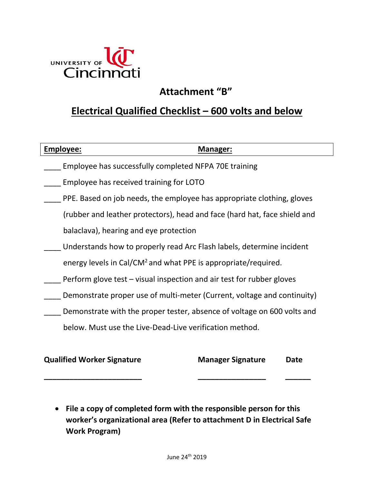

# **Attachment "B"**

## **Electrical Qualified Checklist – 600 volts and below**

| Employee: | Manager:                                                                   |
|-----------|----------------------------------------------------------------------------|
|           | Employee has successfully completed NFPA 70E training                      |
|           | Employee has received training for LOTO                                    |
|           | PPE. Based on job needs, the employee has appropriate clothing, gloves     |
|           | (rubber and leather protectors), head and face (hard hat, face shield and  |
|           | balaclava), hearing and eye protection                                     |
|           | Understands how to properly read Arc Flash labels, determine incident      |
|           | energy levels in Cal/CM <sup>2</sup> and what PPE is appropriate/required. |
|           | Perform glove test – visual inspection and air test for rubber gloves      |
|           | Demonstrate proper use of multi-meter (Current, voltage and continuity)    |
|           | Demonstrate with the proper tester, absence of voltage on 600 volts and    |
|           | below. Must use the Live-Dead-Live verification method.                    |
|           |                                                                            |

**Qualified Worker Signature Manager Signature Date \_\_\_\_\_\_\_\_\_\_\_\_\_\_\_\_\_\_\_\_\_\_\_ \_\_\_\_\_\_\_\_\_\_\_\_\_\_\_\_ \_\_\_\_\_\_**

• **File a copy of completed form with the responsible person for this worker's organizational area (Refer to attachment D in Electrical Safe Work Program)**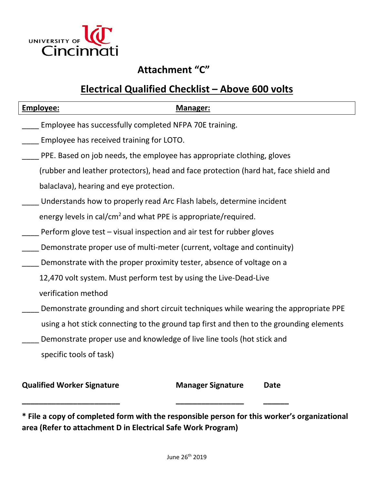

# **Attachment "C"**

# **Electrical Qualified Checklist – Above 600 volts**

| <b>Employee:</b>                                                           | Manager:                                                                                |  |
|----------------------------------------------------------------------------|-----------------------------------------------------------------------------------------|--|
| Employee has successfully completed NFPA 70E training.                     |                                                                                         |  |
| Employee has received training for LOTO.                                   |                                                                                         |  |
|                                                                            | PPE. Based on job needs, the employee has appropriate clothing, gloves                  |  |
|                                                                            | (rubber and leather protectors), head and face protection (hard hat, face shield and    |  |
| balaclava), hearing and eye protection.                                    |                                                                                         |  |
|                                                                            | Understands how to properly read Arc Flash labels, determine incident                   |  |
| energy levels in cal/cm <sup>2</sup> and what PPE is appropriate/required. |                                                                                         |  |
|                                                                            | Perform glove test – visual inspection and air test for rubber gloves                   |  |
| Demonstrate proper use of multi-meter (current, voltage and continuity)    |                                                                                         |  |
| Demonstrate with the proper proximity tester, absence of voltage on a      |                                                                                         |  |
|                                                                            | 12,470 volt system. Must perform test by using the Live-Dead-Live                       |  |
| verification method                                                        |                                                                                         |  |
|                                                                            | Demonstrate grounding and short circuit techniques while wearing the appropriate PPE    |  |
|                                                                            | using a hot stick connecting to the ground tap first and then to the grounding elements |  |
|                                                                            | Demonstrate proper use and knowledge of live line tools (hot stick and                  |  |
| specific tools of task)                                                    |                                                                                         |  |
|                                                                            |                                                                                         |  |
| <b>Qualified Worker Signature</b>                                          | <b>Manager Signature</b><br>Date                                                        |  |

**\* File a copy of completed form with the responsible person for this worker's organizational area (Refer to attachment D in Electrical Safe Work Program)** 

**\_\_\_\_\_\_\_\_\_\_\_\_\_\_\_\_\_\_\_\_\_\_\_ \_\_\_\_\_\_\_\_\_\_\_\_\_\_\_\_ \_\_\_\_\_\_**